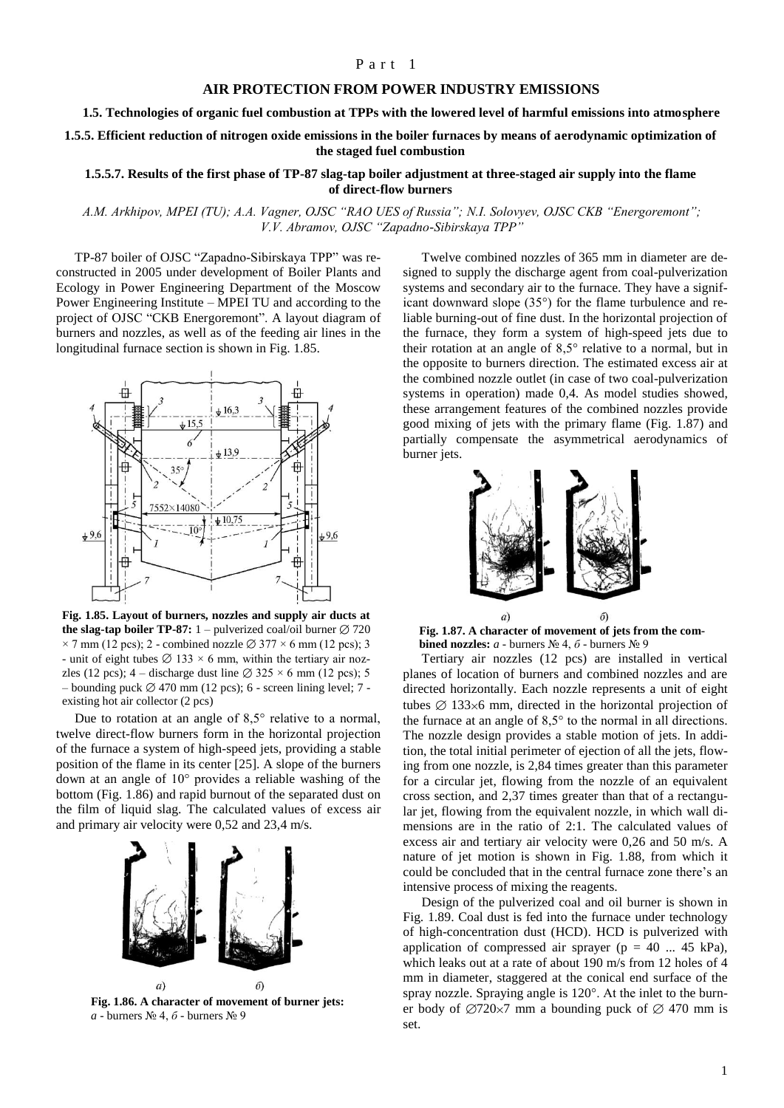## Part 1

## **AIR PROTECTION FROM POWER INDUSTRY EMISSIONS**

**1.5. Technologies of organic fuel combustion at TPPs with the lowered level of harmful emissions into atmosphere**

**1.5.5. Efficient reduction of nitrogen oxide emissions in the boiler furnaces by means of aerodynamic optimization of the staged fuel combustion**

## **1.5.5.7. Results of the first phase of TP-87 slag-tap boiler adjustment at three-staged air supply into the flame of direct-flow burners**

## *A.M. Arkhipov, MPEI (TU); A.A. Vagner, OJSC "RAO UES of Russia"; N.I. Solovyev, OJSC CKB "Energoremont"; V.V. Abramov, OJSC "Zapadno-Sibirskaya TPP"*

TP-87 boiler of OJSC "Zapadno-Sibirskaya TPP" was reconstructed in 2005 under development of Boiler Plants and Ecology in Power Engineering Department of the Moscow Power Engineering Institute – MPEI TU and according to the project of OJSC "CKB Energoremont". A layout diagram of burners and nozzles, as well as of the feeding air lines in the longitudinal furnace section is shown in Fig. 1.85.



**Fig. 1.85. Layout of burners, nozzles and supply air ducts at the slag-tap boiler TP-87:** 1 – pulverized coal/oil burner  $\varnothing$  720  $\times$  7 mm (12 pcs); 2 - combined nozzle  $\varnothing$  377  $\times$  6 mm (12 pcs); 3 - unit of eight tubes  $\varnothing$  133 × 6 mm, within the tertiary air nozzles (12 pcs); 4 – discharge dust line  $\varnothing$  325  $\times$  6 mm (12 pcs); 5 – bounding puck  $\varnothing$  470 mm (12 pcs); 6 - screen lining level; 7 existing hot air collector (2 pcs)

Due to rotation at an angle of 8,5° relative to a normal, twelve direct-flow burners form in the horizontal projection of the furnace a system of high-speed jets, providing a stable position of the flame in its center [25]. A slope of the burners down at an angle of 10° provides a reliable washing of the bottom (Fig. 1.86) and rapid burnout of the separated dust on the film of liquid slag. The calculated values of excess air and primary air velocity were 0,52 and 23,4 m/s.



**Fig. 1.86. A character of movement of burner jets:** *a* - burners № 4, *б* - burners № 9

Twelve combined nozzles of 365 mm in diameter are designed to supply the discharge agent from coal-pulverization systems and secondary air to the furnace. They have a significant downward slope (35°) for the flame turbulence and reliable burning-out of fine dust. In the horizontal projection of the furnace, they form a system of high-speed jets due to their rotation at an angle of 8,5° relative to a normal, but in the opposite to burners direction. The estimated excess air at the combined nozzle outlet (in case of two coal-pulverization systems in operation) made 0,4. As model studies showed, these arrangement features of the combined nozzles provide good mixing of jets with the primary flame (Fig. 1.87) and partially compensate the asymmetrical aerodynamics of burner jets.



**Fig. 1.87. A character of movement of jets from the combined nozzles:** *a* - burners № 4, *б* - burners № 9

Tertiary air nozzles (12 pcs) are installed in vertical planes of location of burners and combined nozzles and are directed horizontally. Each nozzle represents a unit of eight tubes  $\varnothing$  133×6 mm, directed in the horizontal projection of the furnace at an angle of 8,5° to the normal in all directions. The nozzle design provides a stable motion of jets. In addition, the total initial perimeter of ejection of all the jets, flowing from one nozzle, is 2,84 times greater than this parameter for a circular jet, flowing from the nozzle of an equivalent cross section, and 2,37 times greater than that of a rectangular jet, flowing from the equivalent nozzle, in which wall dimensions are in the ratio of 2:1. The calculated values of excess air and tertiary air velocity were 0,26 and 50 m/s. A nature of jet motion is shown in Fig. 1.88, from which it could be concluded that in the central furnace zone there's an intensive process of mixing the reagents.

Design of the pulverized coal and oil burner is shown in Fig. 1.89. Coal dust is fed into the furnace under technology of high-concentration dust (HCD). HCD is pulverized with application of compressed air sprayer ( $p = 40$  ... 45 kPa), which leaks out at a rate of about 190 m/s from 12 holes of 4 mm in diameter, staggered at the conical end surface of the spray nozzle. Spraying angle is 120°. At the inlet to the burner body of  $\varnothing$ 720×7 mm a bounding puck of  $\varnothing$  470 mm is set.